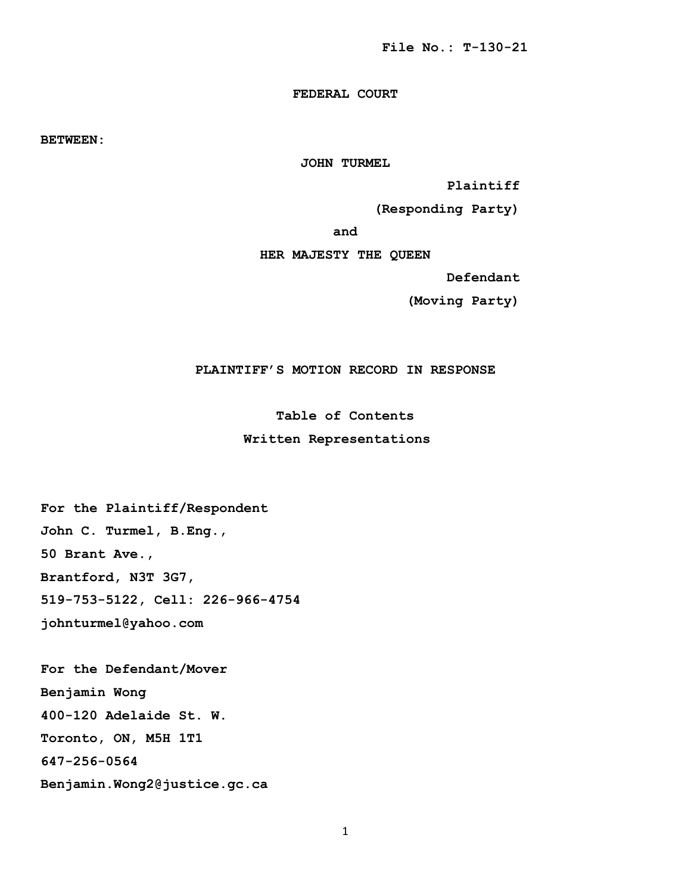# **FEDERAL COURT**

**BETWEEN:**

**JOHN TURMEL**

 **Plaintiff**

 **(Responding Party)**

**and**

**HER MAJESTY THE QUEEN**

 **Defendant**

 **(Moving Party)**

**PLAINTIFF'S MOTION RECORD IN RESPONSE**

**Table of Contents**

### **Written Representations**

**For the Plaintiff/Respondent John C. Turmel, B.Eng., 50 Brant Ave., Brantford, N3T 3G7, 519-753-5122, Cell: 226-966-4754** 

**johnturmel@yahoo.com**

**For the Defendant/Mover** 

**Benjamin Wong** 

**400-120 Adelaide St. W.** 

**Toronto, ON, M5H 1T1**

**647-256-0564**

**Benjamin.Wong2@justice.gc.ca**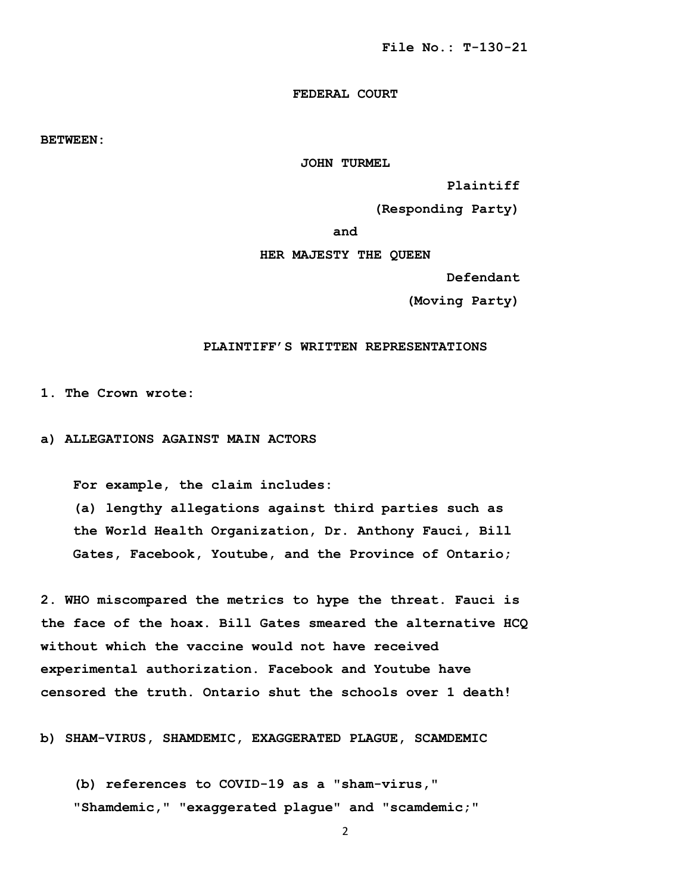# **FEDERAL COURT**

**BETWEEN:**

**JOHN TURMEL**

 **Plaintiff**

 **(Responding Party)**

**and**

**HER MAJESTY THE QUEEN**

 **Defendant**

 **(Moving Party)**

## **PLAINTIFF'S WRITTEN REPRESENTATIONS**

**1. The Crown wrote:** 

**a) ALLEGATIONS AGAINST MAIN ACTORS** 

 **For example, the claim includes:**

 **(a) lengthy allegations against third parties such as the World Health Organization, Dr. Anthony Fauci, Bill Gates, Facebook, Youtube, and the Province of Ontario;**

**2. WHO miscompared the metrics to hype the threat. Fauci is the face of the hoax. Bill Gates smeared the alternative HCQ without which the vaccine would not have received experimental authorization. Facebook and Youtube have censored the truth. Ontario shut the schools over 1 death!** 

**b) SHAM-VIRUS, SHAMDEMIC, EXAGGERATED PLAGUE, SCAMDEMIC** 

 **(b) references to COVID-19 as a "sham-virus," "Shamdemic," "exaggerated plague" and "scamdemic;"**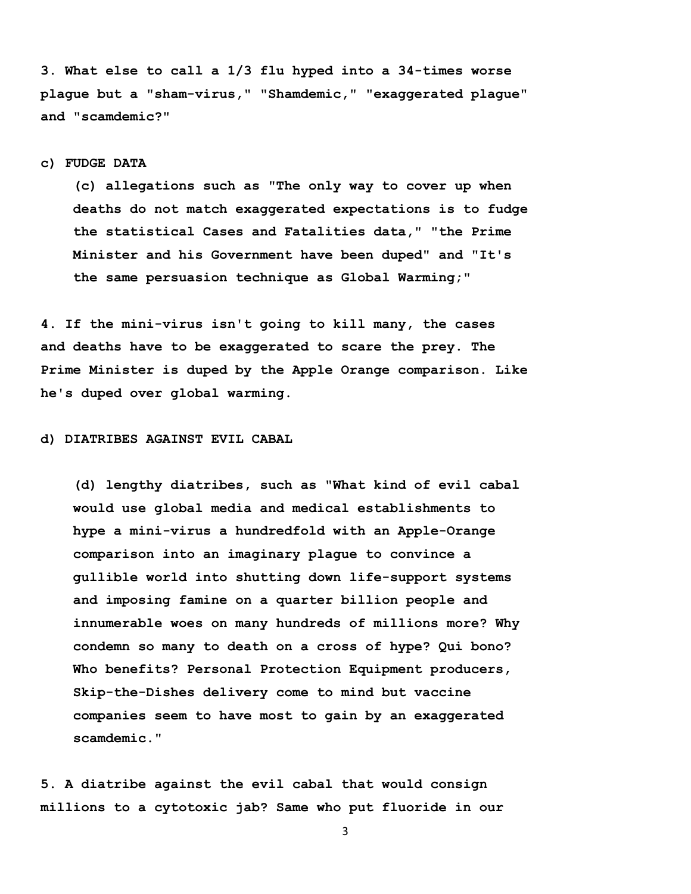**3. What else to call a 1/3 flu hyped into a 34-times worse plague but a "sham-virus," "Shamdemic," "exaggerated plague" and "scamdemic?"**

### **c) FUDGE DATA**

 **(c) allegations such as "The only way to cover up when deaths do not match exaggerated expectations is to fudge the statistical Cases and Fatalities data," "the Prime Minister and his Government have been duped" and "It's the same persuasion technique as Global Warming;"** 

**4. If the mini-virus isn't going to kill many, the cases and deaths have to be exaggerated to scare the prey. The Prime Minister is duped by the Apple Orange comparison. Like he's duped over global warming.** 

**d) DIATRIBES AGAINST EVIL CABAL** 

 **(d) lengthy diatribes, such as "What kind of evil cabal would use global media and medical establishments to hype a mini-virus a hundredfold with an Apple-Orange comparison into an imaginary plague to convince a gullible world into shutting down life-support systems and imposing famine on a quarter billion people and innumerable woes on many hundreds of millions more? Why condemn so many to death on a cross of hype? Qui bono? Who benefits? Personal Protection Equipment producers, Skip-the-Dishes delivery come to mind but vaccine companies seem to have most to gain by an exaggerated scamdemic."**

**5. A diatribe against the evil cabal that would consign millions to a cytotoxic jab? Same who put fluoride in our**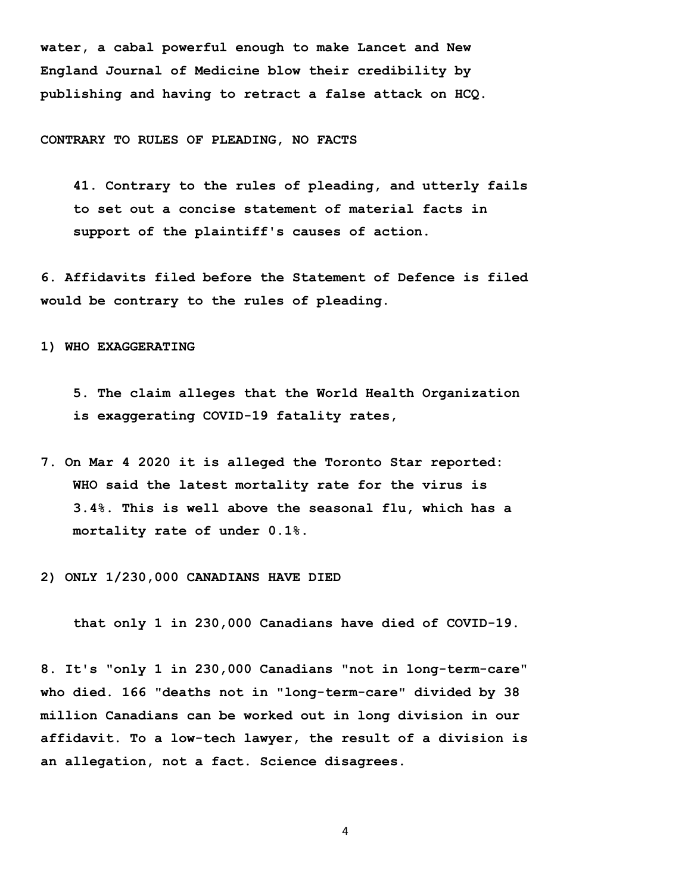**water, a cabal powerful enough to make Lancet and New England Journal of Medicine blow their credibility by publishing and having to retract a false attack on HCQ.** 

#### **CONTRARY TO RULES OF PLEADING, NO FACTS**

 **41. Contrary to the rules of pleading, and utterly fails to set out a concise statement of material facts in support of the plaintiff's causes of action.** 

**6. Affidavits filed before the Statement of Defence is filed would be contrary to the rules of pleading.** 

**1) WHO EXAGGERATING** 

 **5. The claim alleges that the World Health Organization is exaggerating COVID-19 fatality rates,** 

**7. On Mar 4 2020 it is alleged the Toronto Star reported: WHO said the latest mortality rate for the virus is 3.4%. This is well above the seasonal flu, which has a mortality rate of under 0.1%.**

**2) ONLY 1/230,000 CANADIANS HAVE DIED**

 **that only 1 in 230,000 Canadians have died of COVID-19.** 

**8. It's "only 1 in 230,000 Canadians "not in long-term-care" who died. 166 "deaths not in "long-term-care" divided by 38 million Canadians can be worked out in long division in our affidavit. To a low-tech lawyer, the result of a division is an allegation, not a fact. Science disagrees.**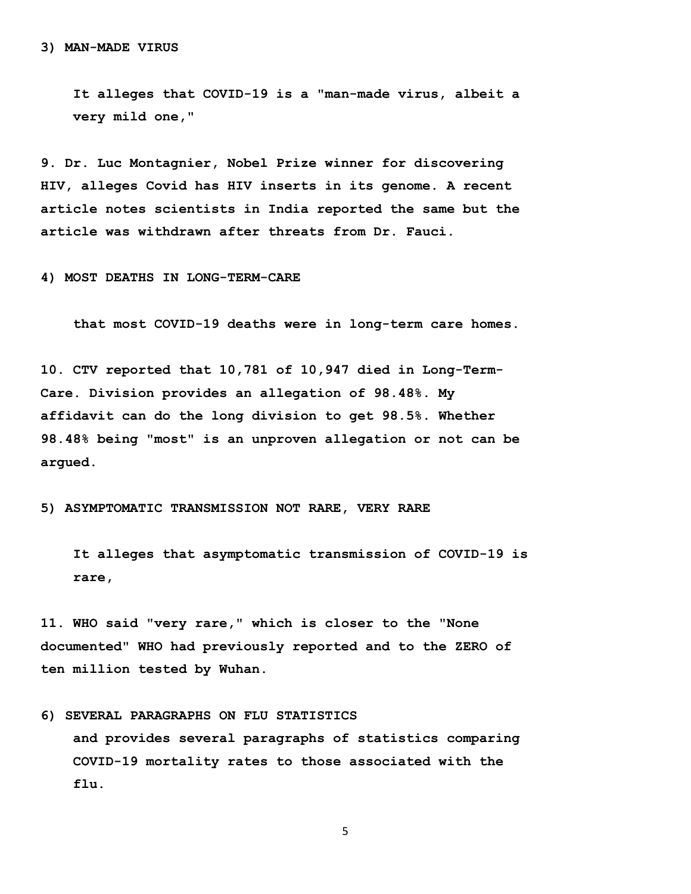**It alleges that COVID-19 is a "man-made virus, albeit a very mild one,"** 

**9. Dr. Luc Montagnier, Nobel Prize winner for discovering HIV, alleges Covid has HIV inserts in its genome. A recent article notes scientists in India reported the same but the article was withdrawn after threats from Dr. Fauci.** 

**4) MOST DEATHS IN LONG-TERM-CARE** 

 **that most COVID-19 deaths were in long-term care homes.**

**10. CTV reported that 10,781 of 10,947 died in Long-Term-Care. Division provides an allegation of 98.48%. My affidavit can do the long division to get 98.5%. Whether 98.48% being "most" is an unproven allegation or not can be argued.** 

**5) ASYMPTOMATIC TRANSMISSION NOT RARE, VERY RARE** 

 **It alleges that asymptomatic transmission of COVID-19 is rare,** 

**11. WHO said "very rare," which is closer to the "None documented" WHO had previously reported and to the ZERO of ten million tested by Wuhan.** 

**6) SEVERAL PARAGRAPHS ON FLU STATISTICS and provides several paragraphs of statistics comparing COVID-19 mortality rates to those associated with the flu.**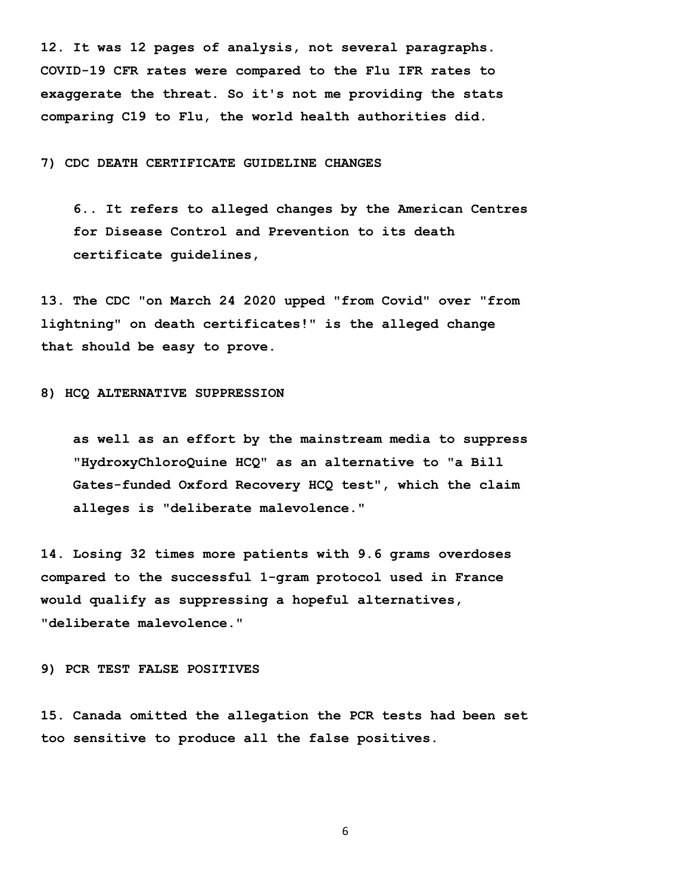**12. It was 12 pages of analysis, not several paragraphs. COVID-19 CFR rates were compared to the Flu IFR rates to exaggerate the threat. So it's not me providing the stats comparing C19 to Flu, the world health authorities did.** 

## **7) CDC DEATH CERTIFICATE GUIDELINE CHANGES**

 **6.. It refers to alleged changes by the American Centres for Disease Control and Prevention to its death certificate guidelines,** 

**13. The CDC "on March 24 2020 upped "from Covid" over "from lightning" on death certificates!" is the alleged change that should be easy to prove.** 

#### **8) HCQ ALTERNATIVE SUPPRESSION**

 **as well as an effort by the mainstream media to suppress "HydroxyChloroQuine HCQ" as an alternative to "a Bill Gates-funded Oxford Recovery HCQ test", which the claim alleges is "deliberate malevolence."**

**14. Losing 32 times more patients with 9.6 grams overdoses compared to the successful 1-gram protocol used in France would qualify as suppressing a hopeful alternatives, "deliberate malevolence."** 

#### **9) PCR TEST FALSE POSITIVES**

**15. Canada omitted the allegation the PCR tests had been set too sensitive to produce all the false positives.**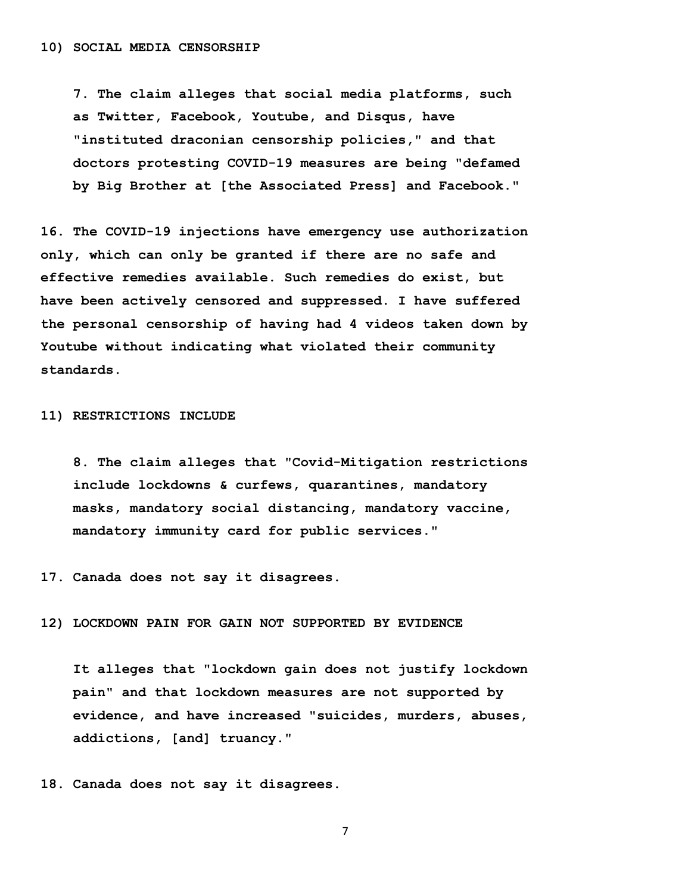**7. The claim alleges that social media platforms, such as Twitter, Facebook, Youtube, and Disqus, have "instituted draconian censorship policies," and that doctors protesting COVID-19 measures are being "defamed by Big Brother at [the Associated Press] and Facebook."**

**16. The COVID-19 injections have emergency use authorization only, which can only be granted if there are no safe and effective remedies available. Such remedies do exist, but have been actively censored and suppressed. I have suffered the personal censorship of having had 4 videos taken down by Youtube without indicating what violated their community standards.** 

### **11) RESTRICTIONS INCLUDE**

 **8. The claim alleges that "Covid-Mitigation restrictions include lockdowns & curfews, quarantines, mandatory masks, mandatory social distancing, mandatory vaccine, mandatory immunity card for public services."**

**17. Canada does not say it disagrees.** 

**12) LOCKDOWN PAIN FOR GAIN NOT SUPPORTED BY EVIDENCE** 

 **It alleges that "lockdown gain does not justify lockdown pain" and that lockdown measures are not supported by evidence, and have increased "suicides, murders, abuses, addictions, [and] truancy."**

**18. Canada does not say it disagrees.**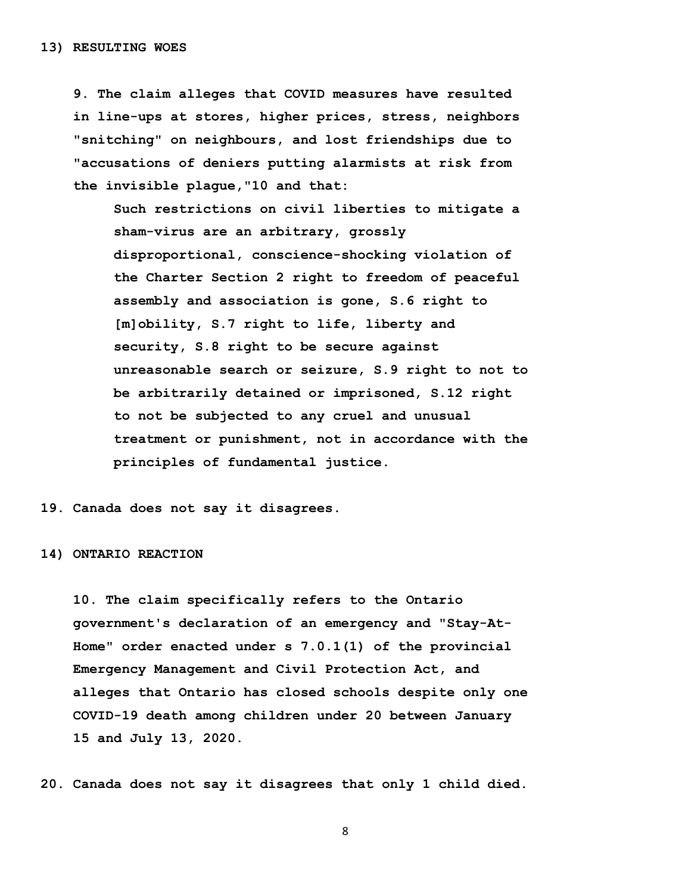**9. The claim alleges that COVID measures have resulted in line-ups at stores, higher prices, stress, neighbors "snitching" on neighbours, and lost friendships due to "accusations of deniers putting alarmists at risk from the invisible plague,"10 and that:**

 **Such restrictions on civil liberties to mitigate a sham-virus are an arbitrary, grossly disproportional, conscience-shocking violation of the Charter Section 2 right to freedom of peaceful assembly and association is gone, S.6 right to [m]obility, S.7 right to life, liberty and security, S.8 right to be secure against unreasonable search or seizure, S.9 right to not to be arbitrarily detained or imprisoned, S.12 right to not be subjected to any cruel and unusual treatment or punishment, not in accordance with the principles of fundamental justice.**

**19. Canada does not say it disagrees.** 

#### **14) ONTARIO REACTION**

 **10. The claim specifically refers to the Ontario government's declaration of an emergency and "Stay-At- Home" order enacted under s 7.0.1(1) of the provincial Emergency Management and Civil Protection Act, and alleges that Ontario has closed schools despite only one COVID-19 death among children under 20 between January 15 and July 13, 2020.**

**20. Canada does not say it disagrees that only 1 child died.**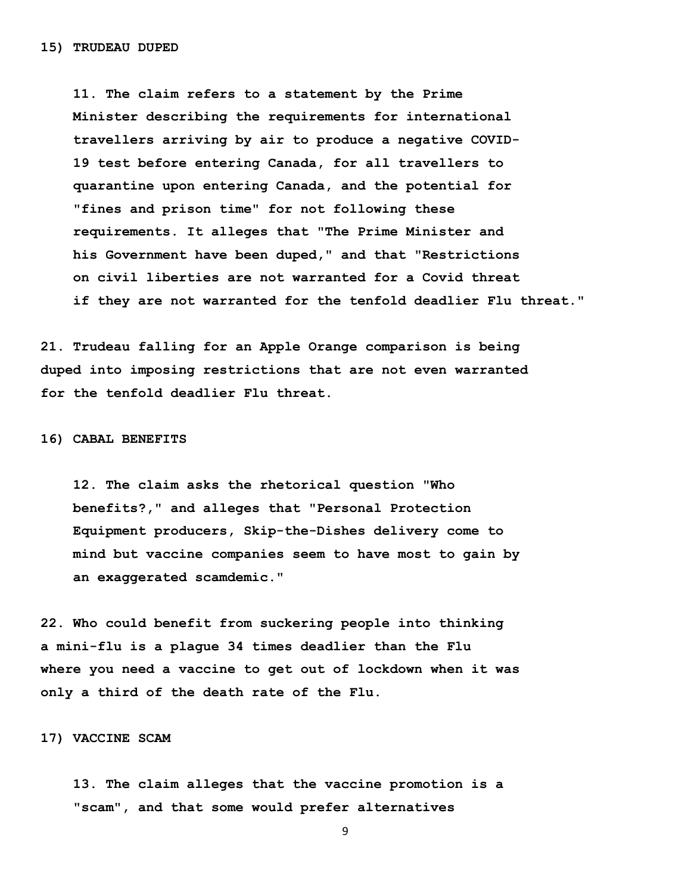**11. The claim refers to a statement by the Prime Minister describing the requirements for international travellers arriving by air to produce a negative COVID- 19 test before entering Canada, for all travellers to quarantine upon entering Canada, and the potential for "fines and prison time" for not following these requirements. It alleges that "The Prime Minister and his Government have been duped," and that "Restrictions on civil liberties are not warranted for a Covid threat if they are not warranted for the tenfold deadlier Flu threat."**

**21. Trudeau falling for an Apple Orange comparison is being duped into imposing restrictions that are not even warranted for the tenfold deadlier Flu threat.**

**16) CABAL BENEFITS**

 **12. The claim asks the rhetorical question "Who benefits?," and alleges that "Personal Protection Equipment producers, Skip-the-Dishes delivery come to mind but vaccine companies seem to have most to gain by an exaggerated scamdemic."**

**22. Who could benefit from suckering people into thinking a mini-flu is a plague 34 times deadlier than the Flu where you need a vaccine to get out of lockdown when it was only a third of the death rate of the Flu.** 

**17) VACCINE SCAM** 

 **13. The claim alleges that the vaccine promotion is a "scam", and that some would prefer alternatives**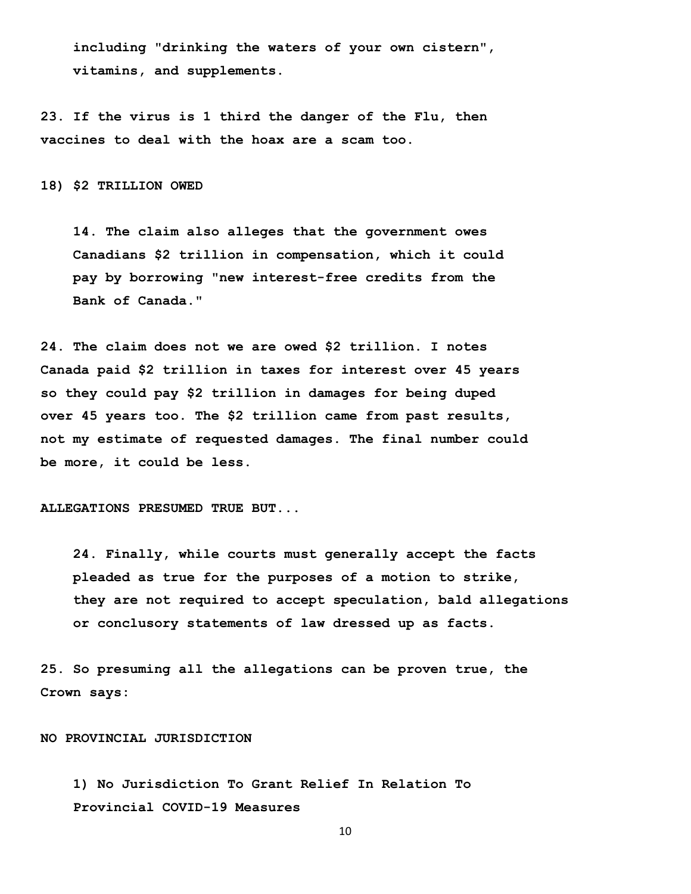**including "drinking the waters of your own cistern", vitamins, and supplements.**

**23. If the virus is 1 third the danger of the Flu, then vaccines to deal with the hoax are a scam too.** 

**18) \$2 TRILLION OWED** 

 **14. The claim also alleges that the government owes Canadians \$2 trillion in compensation, which it could pay by borrowing "new interest-free credits from the Bank of Canada."**

**24. The claim does not we are owed \$2 trillion. I notes Canada paid \$2 trillion in taxes for interest over 45 years so they could pay \$2 trillion in damages for being duped over 45 years too. The \$2 trillion came from past results, not my estimate of requested damages. The final number could be more, it could be less.** 

**ALLEGATIONS PRESUMED TRUE BUT...** 

 **24. Finally, while courts must generally accept the facts pleaded as true for the purposes of a motion to strike, they are not required to accept speculation, bald allegations or conclusory statements of law dressed up as facts.** 

**25. So presuming all the allegations can be proven true, the Crown says:** 

**NO PROVINCIAL JURISDICTION** 

 **1) No Jurisdiction To Grant Relief In Relation To Provincial COVID-19 Measures**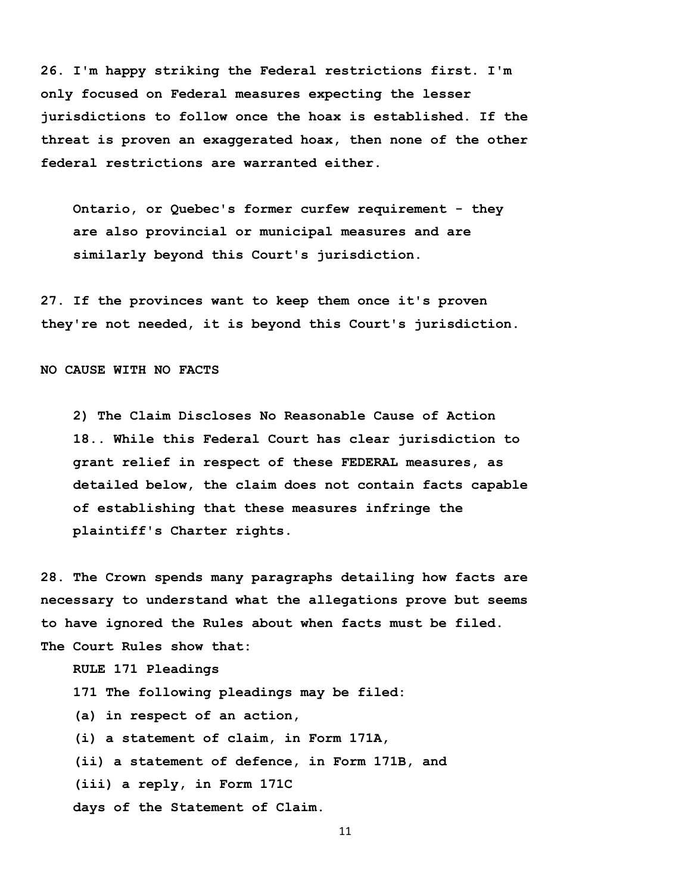**26. I'm happy striking the Federal restrictions first. I'm only focused on Federal measures expecting the lesser jurisdictions to follow once the hoax is established. If the threat is proven an exaggerated hoax, then none of the other federal restrictions are warranted either.** 

 **Ontario, or Quebec's former curfew requirement - they are also provincial or municipal measures and are similarly beyond this Court's jurisdiction.**

**27. If the provinces want to keep them once it's proven they're not needed, it is beyond this Court's jurisdiction.** 

**NO CAUSE WITH NO FACTS** 

 **2) The Claim Discloses No Reasonable Cause of Action 18.. While this Federal Court has clear jurisdiction to grant relief in respect of these FEDERAL measures, as detailed below, the claim does not contain facts capable of establishing that these measures infringe the plaintiff's Charter rights.**

**28. The Crown spends many paragraphs detailing how facts are necessary to understand what the allegations prove but seems to have ignored the Rules about when facts must be filed. The Court Rules show that:** 

 **RULE 171 Pleadings**

 **171 The following pleadings may be filed:**

 **(a) in respect of an action,**

 **(i) a statement of claim, in Form 171A,**

 **(ii) a statement of defence, in Form 171B, and**

 **(iii) a reply, in Form 171C**

 **days of the Statement of Claim.**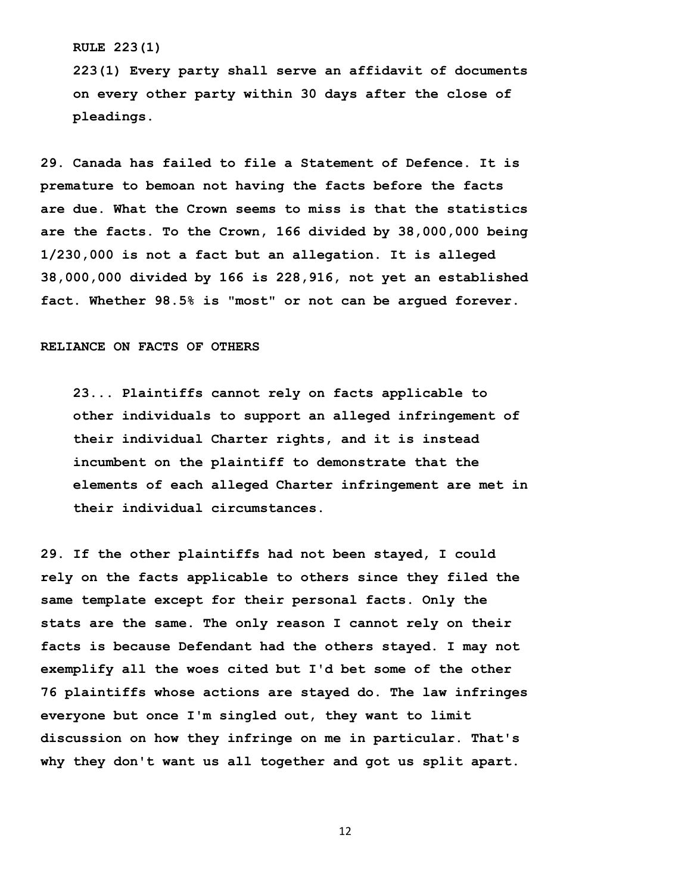#### **RULE 223(1)**

 **223(1) Every party shall serve an affidavit of documents on every other party within 30 days after the close of pleadings.**

**29. Canada has failed to file a Statement of Defence. It is premature to bemoan not having the facts before the facts are due. What the Crown seems to miss is that the statistics are the facts. To the Crown, 166 divided by 38,000,000 being 1/230,000 is not a fact but an allegation. It is alleged 38,000,000 divided by 166 is 228,916, not yet an established fact. Whether 98.5% is "most" or not can be argued forever.** 

## **RELIANCE ON FACTS OF OTHERS**

 **23... Plaintiffs cannot rely on facts applicable to other individuals to support an alleged infringement of their individual Charter rights, and it is instead incumbent on the plaintiff to demonstrate that the elements of each alleged Charter infringement are met in their individual circumstances.**

**29. If the other plaintiffs had not been stayed, I could rely on the facts applicable to others since they filed the same template except for their personal facts. Only the stats are the same. The only reason I cannot rely on their facts is because Defendant had the others stayed. I may not exemplify all the woes cited but I'd bet some of the other 76 plaintiffs whose actions are stayed do. The law infringes everyone but once I'm singled out, they want to limit discussion on how they infringe on me in particular. That's why they don't want us all together and got us split apart.**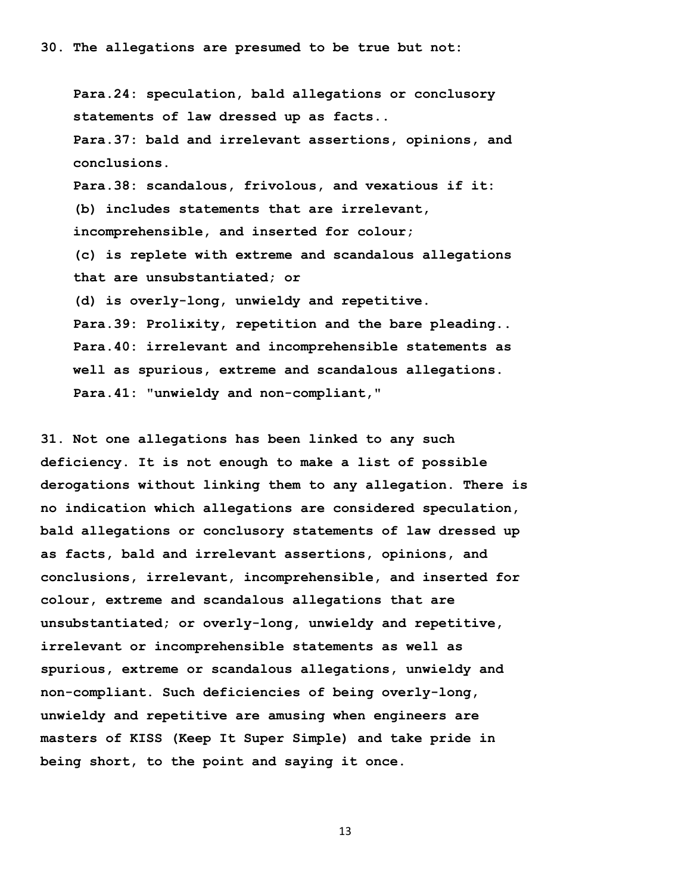**Para.24: speculation, bald allegations or conclusory statements of law dressed up as facts.. Para.37: bald and irrelevant assertions, opinions, and conclusions. Para.38: scandalous, frivolous, and vexatious if it: (b) includes statements that are irrelevant, incomprehensible, and inserted for colour; (c) is replete with extreme and scandalous allegations that are unsubstantiated; or (d) is overly-long, unwieldy and repetitive. Para.39: Prolixity, repetition and the bare pleading.. Para.40: irrelevant and incomprehensible statements as well as spurious, extreme and scandalous allegations. Para.41: "unwieldy and non-compliant,"** 

**31. Not one allegations has been linked to any such deficiency. It is not enough to make a list of possible derogations without linking them to any allegation. There is no indication which allegations are considered speculation, bald allegations or conclusory statements of law dressed up as facts, bald and irrelevant assertions, opinions, and conclusions, irrelevant, incomprehensible, and inserted for colour, extreme and scandalous allegations that are unsubstantiated; or overly-long, unwieldy and repetitive, irrelevant or incomprehensible statements as well as spurious, extreme or scandalous allegations, unwieldy and non-compliant. Such deficiencies of being overly-long, unwieldy and repetitive are amusing when engineers are masters of KISS (Keep It Super Simple) and take pride in being short, to the point and saying it once.**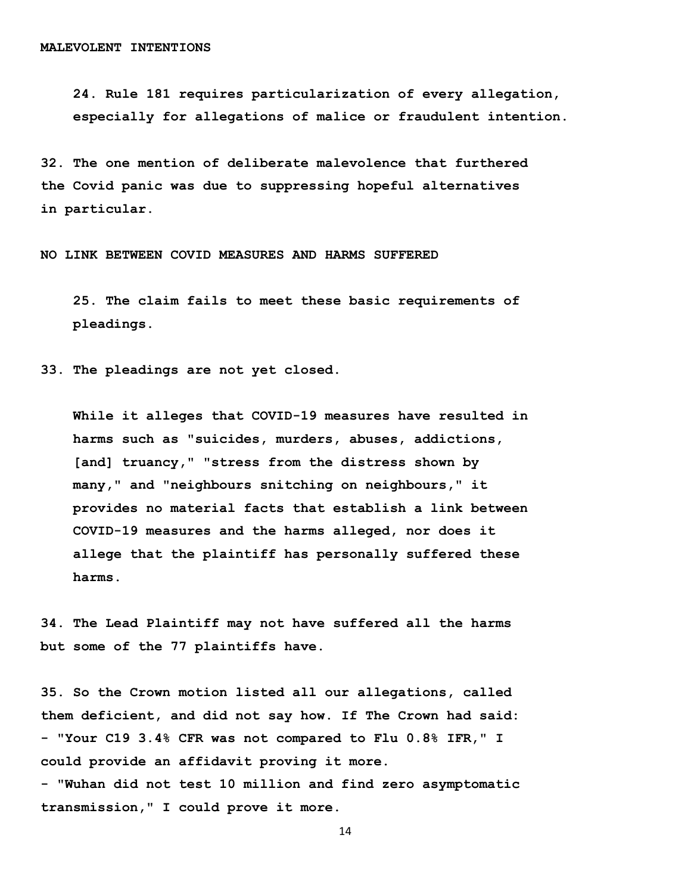**24. Rule 181 requires particularization of every allegation, especially for allegations of malice or fraudulent intention.**

**32. The one mention of deliberate malevolence that furthered the Covid panic was due to suppressing hopeful alternatives in particular.** 

**NO LINK BETWEEN COVID MEASURES AND HARMS SUFFERED**

 **25. The claim fails to meet these basic requirements of pleadings.** 

**33. The pleadings are not yet closed.** 

 **While it alleges that COVID-19 measures have resulted in harms such as "suicides, murders, abuses, addictions, [and] truancy," "stress from the distress shown by many," and "neighbours snitching on neighbours," it provides no material facts that establish a link between COVID-19 measures and the harms alleged, nor does it allege that the plaintiff has personally suffered these harms.**

**34. The Lead Plaintiff may not have suffered all the harms but some of the 77 plaintiffs have.** 

**35. So the Crown motion listed all our allegations, called them deficient, and did not say how. If The Crown had said: - "Your C19 3.4% CFR was not compared to Flu 0.8% IFR," I could provide an affidavit proving it more.** 

**- "Wuhan did not test 10 million and find zero asymptomatic transmission," I could prove it more.**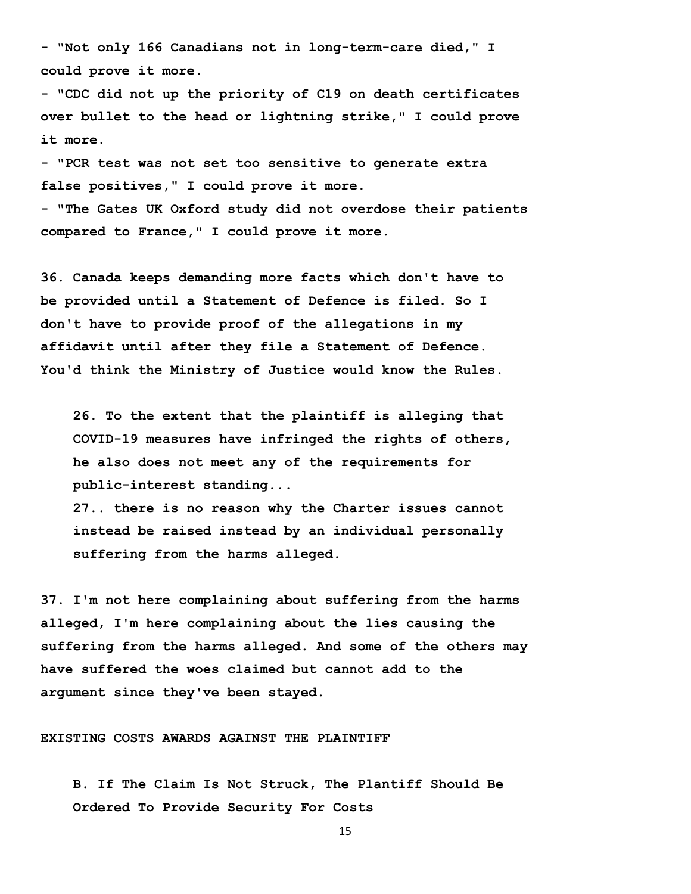**- "Not only 166 Canadians not in long-term-care died," I could prove it more.**

**- "CDC did not up the priority of C19 on death certificates over bullet to the head or lightning strike," I could prove it more.** 

**- "PCR test was not set too sensitive to generate extra false positives," I could prove it more.**

**- "The Gates UK Oxford study did not overdose their patients compared to France," I could prove it more.** 

**36. Canada keeps demanding more facts which don't have to be provided until a Statement of Defence is filed. So I don't have to provide proof of the allegations in my affidavit until after they file a Statement of Defence. You'd think the Ministry of Justice would know the Rules.** 

 **26. To the extent that the plaintiff is alleging that COVID-19 measures have infringed the rights of others, he also does not meet any of the requirements for public-interest standing...** 

 **27.. there is no reason why the Charter issues cannot instead be raised instead by an individual personally suffering from the harms alleged.**

**37. I'm not here complaining about suffering from the harms alleged, I'm here complaining about the lies causing the suffering from the harms alleged. And some of the others may have suffered the woes claimed but cannot add to the argument since they've been stayed.** 

# **EXISTING COSTS AWARDS AGAINST THE PLAINTIFF**

 **B. If The Claim Is Not Struck, The Plantiff Should Be Ordered To Provide Security For Costs**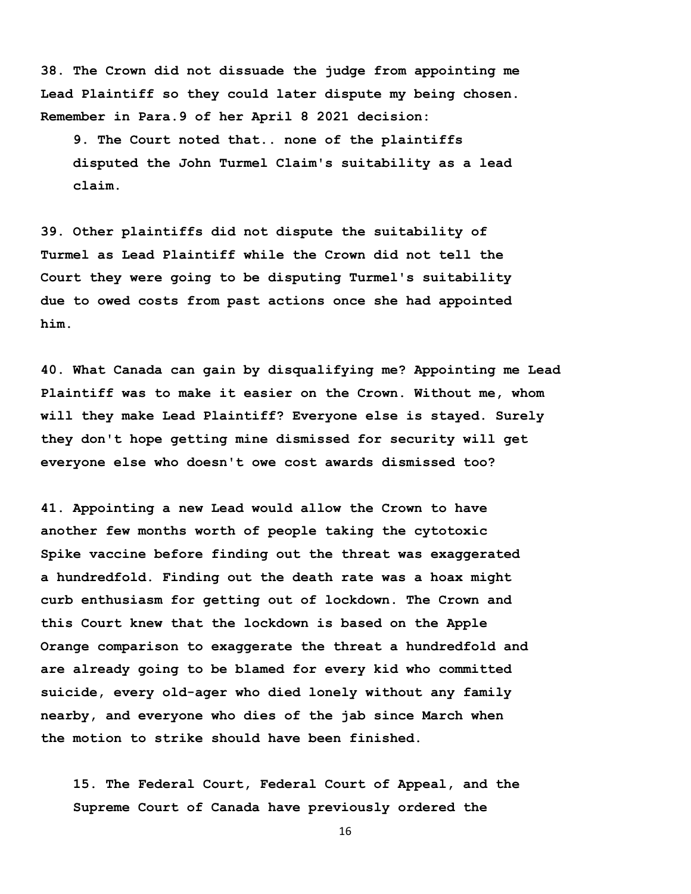**38. The Crown did not dissuade the judge from appointing me Lead Plaintiff so they could later dispute my being chosen. Remember in Para.9 of her April 8 2021 decision:** 

 **9. The Court noted that.. none of the plaintiffs disputed the John Turmel Claim's suitability as a lead claim.**

**39. Other plaintiffs did not dispute the suitability of Turmel as Lead Plaintiff while the Crown did not tell the Court they were going to be disputing Turmel's suitability due to owed costs from past actions once she had appointed him.** 

**40. What Canada can gain by disqualifying me? Appointing me Lead Plaintiff was to make it easier on the Crown. Without me, whom will they make Lead Plaintiff? Everyone else is stayed. Surely they don't hope getting mine dismissed for security will get everyone else who doesn't owe cost awards dismissed too?** 

**41. Appointing a new Lead would allow the Crown to have another few months worth of people taking the cytotoxic Spike vaccine before finding out the threat was exaggerated a hundredfold. Finding out the death rate was a hoax might curb enthusiasm for getting out of lockdown. The Crown and this Court knew that the lockdown is based on the Apple Orange comparison to exaggerate the threat a hundredfold and are already going to be blamed for every kid who committed suicide, every old-ager who died lonely without any family nearby, and everyone who dies of the jab since March when the motion to strike should have been finished.** 

 **15. The Federal Court, Federal Court of Appeal, and the Supreme Court of Canada have previously ordered the**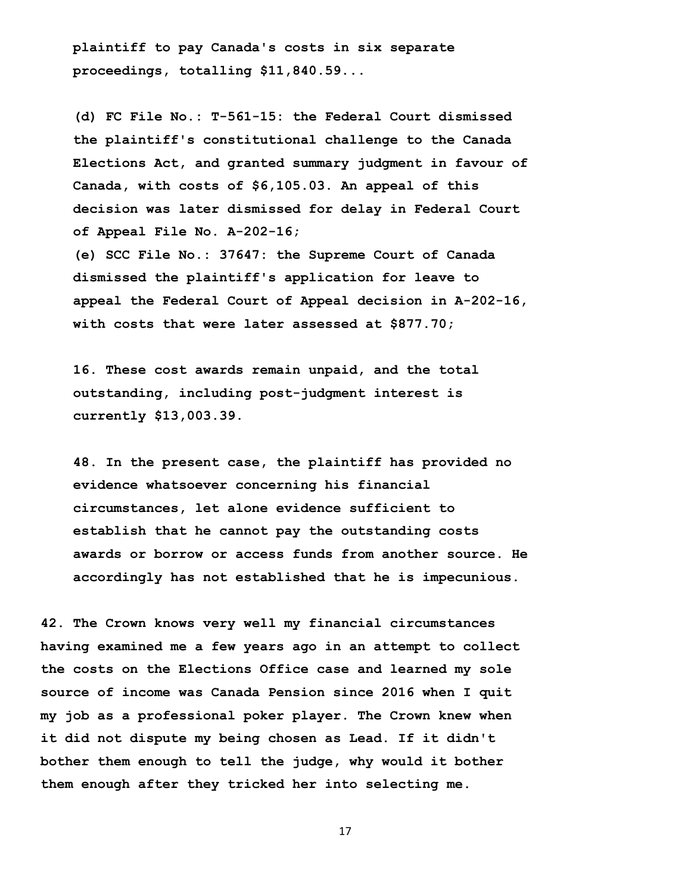**plaintiff to pay Canada's costs in six separate proceedings, totalling \$11,840.59...** 

 **(d) FC File No.: T-561-15: the Federal Court dismissed the plaintiff's constitutional challenge to the Canada Elections Act, and granted summary judgment in favour of Canada, with costs of \$6,105.03. An appeal of this decision was later dismissed for delay in Federal Court of Appeal File No. A-202-16; (e) SCC File No.: 37647: the Supreme Court of Canada dismissed the plaintiff's application for leave to appeal the Federal Court of Appeal decision in A-202-16,** 

 **with costs that were later assessed at \$877.70;**

 **16. These cost awards remain unpaid, and the total outstanding, including post-judgment interest is currently \$13,003.39.**

 **48. In the present case, the plaintiff has provided no evidence whatsoever concerning his financial circumstances, let alone evidence sufficient to establish that he cannot pay the outstanding costs awards or borrow or access funds from another source. He accordingly has not established that he is impecunious.**

**42. The Crown knows very well my financial circumstances having examined me a few years ago in an attempt to collect the costs on the Elections Office case and learned my sole source of income was Canada Pension since 2016 when I quit my job as a professional poker player. The Crown knew when it did not dispute my being chosen as Lead. If it didn't bother them enough to tell the judge, why would it bother them enough after they tricked her into selecting me.**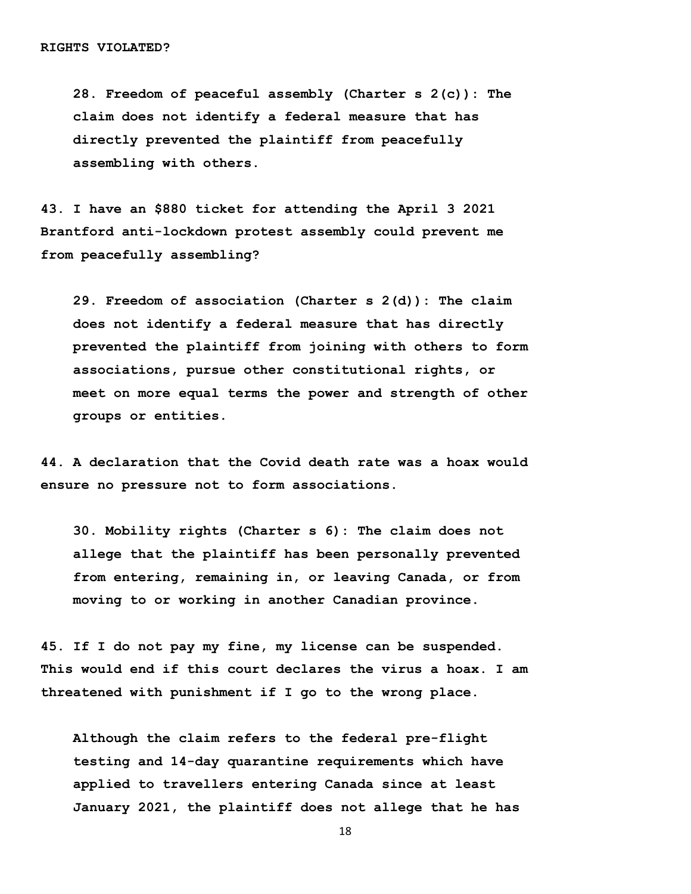**28. Freedom of peaceful assembly (Charter s 2(c)): The claim does not identify a federal measure that has directly prevented the plaintiff from peacefully assembling with others.**

**43. I have an \$880 ticket for attending the April 3 2021 Brantford anti-lockdown protest assembly could prevent me from peacefully assembling?** 

 **29. Freedom of association (Charter s 2(d)): The claim does not identify a federal measure that has directly prevented the plaintiff from joining with others to form associations, pursue other constitutional rights, or meet on more equal terms the power and strength of other groups or entities.**

**44. A declaration that the Covid death rate was a hoax would ensure no pressure not to form associations.** 

 **30. Mobility rights (Charter s 6): The claim does not allege that the plaintiff has been personally prevented from entering, remaining in, or leaving Canada, or from moving to or working in another Canadian province.**

**45. If I do not pay my fine, my license can be suspended. This would end if this court declares the virus a hoax. I am threatened with punishment if I go to the wrong place.** 

 **Although the claim refers to the federal pre-flight testing and 14-day quarantine requirements which have applied to travellers entering Canada since at least January 2021, the plaintiff does not allege that he has**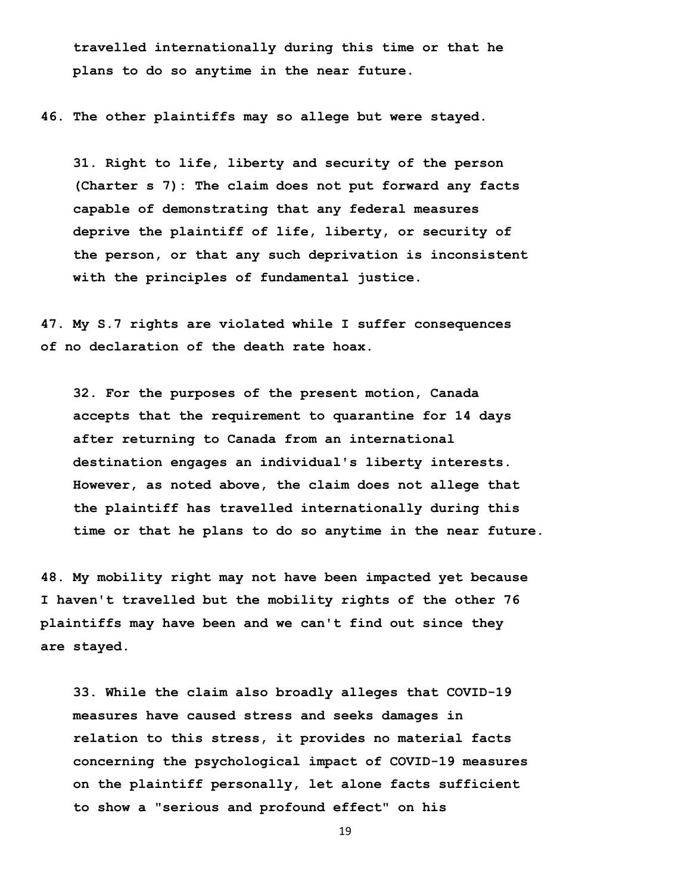**travelled internationally during this time or that he plans to do so anytime in the near future.**

**46. The other plaintiffs may so allege but were stayed.** 

 **31. Right to life, liberty and security of the person (Charter s 7): The claim does not put forward any facts capable of demonstrating that any federal measures deprive the plaintiff of life, liberty, or security of the person, or that any such deprivation is inconsistent with the principles of fundamental justice.**

**47. My S.7 rights are violated while I suffer consequences of no declaration of the death rate hoax.** 

 **32. For the purposes of the present motion, Canada accepts that the requirement to quarantine for 14 days after returning to Canada from an international destination engages an individual's liberty interests. However, as noted above, the claim does not allege that the plaintiff has travelled internationally during this time or that he plans to do so anytime in the near future.**

**48. My mobility right may not have been impacted yet because I haven't travelled but the mobility rights of the other 76 plaintiffs may have been and we can't find out since they are stayed.** 

 **33. While the claim also broadly alleges that COVID-19 measures have caused stress and seeks damages in relation to this stress, it provides no material facts concerning the psychological impact of COVID-19 measures on the plaintiff personally, let alone facts sufficient to show a "serious and profound effect" on his**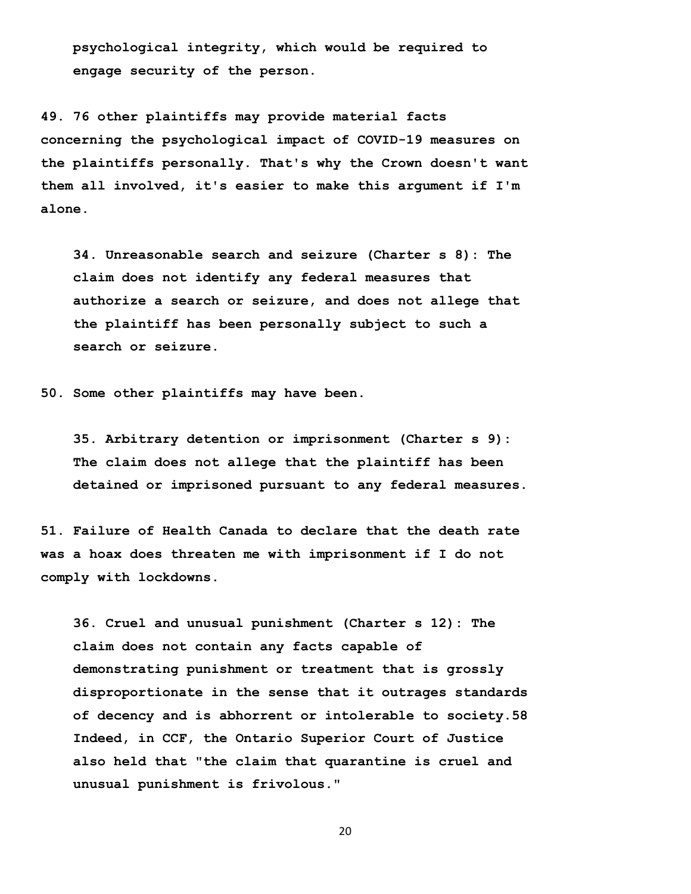**psychological integrity, which would be required to engage security of the person.**

**49. 76 other plaintiffs may provide material facts concerning the psychological impact of COVID-19 measures on the plaintiffs personally. That's why the Crown doesn't want them all involved, it's easier to make this argument if I'm alone.** 

 **34. Unreasonable search and seizure (Charter s 8): The claim does not identify any federal measures that authorize a search or seizure, and does not allege that the plaintiff has been personally subject to such a search or seizure.** 

**50. Some other plaintiffs may have been.**

 **35. Arbitrary detention or imprisonment (Charter s 9): The claim does not allege that the plaintiff has been detained or imprisoned pursuant to any federal measures.** 

**51. Failure of Health Canada to declare that the death rate was a hoax does threaten me with imprisonment if I do not comply with lockdowns.** 

 **36. Cruel and unusual punishment (Charter s 12): The claim does not contain any facts capable of demonstrating punishment or treatment that is grossly disproportionate in the sense that it outrages standards of decency and is abhorrent or intolerable to society.58 Indeed, in CCF, the Ontario Superior Court of Justice also held that "the claim that quarantine is cruel and unusual punishment is frivolous."**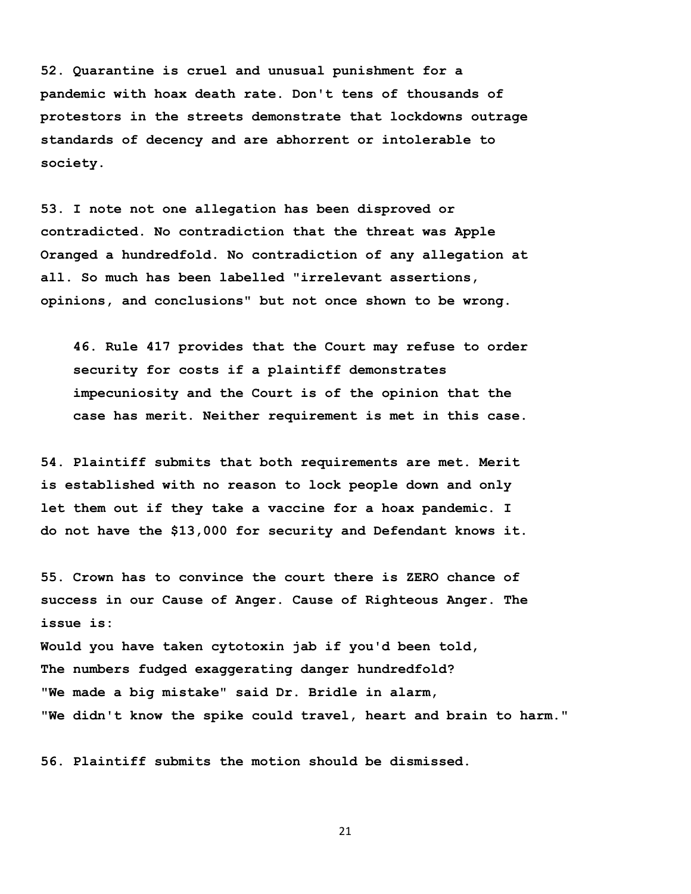**52. Quarantine is cruel and unusual punishment for a pandemic with hoax death rate. Don't tens of thousands of protestors in the streets demonstrate that lockdowns outrage standards of decency and are abhorrent or intolerable to society.**

**53. I note not one allegation has been disproved or contradicted. No contradiction that the threat was Apple Oranged a hundredfold. No contradiction of any allegation at all. So much has been labelled "irrelevant assertions, opinions, and conclusions" but not once shown to be wrong.** 

 **46. Rule 417 provides that the Court may refuse to order security for costs if a plaintiff demonstrates impecuniosity and the Court is of the opinion that the case has merit. Neither requirement is met in this case.**

**54. Plaintiff submits that both requirements are met. Merit is established with no reason to lock people down and only let them out if they take a vaccine for a hoax pandemic. I do not have the \$13,000 for security and Defendant knows it.** 

**55. Crown has to convince the court there is ZERO chance of success in our Cause of Anger. Cause of Righteous Anger. The issue is: Would you have taken cytotoxin jab if you'd been told, The numbers fudged exaggerating danger hundredfold? "We made a big mistake" said Dr. Bridle in alarm, "We didn't know the spike could travel, heart and brain to harm."** 

**56. Plaintiff submits the motion should be dismissed.**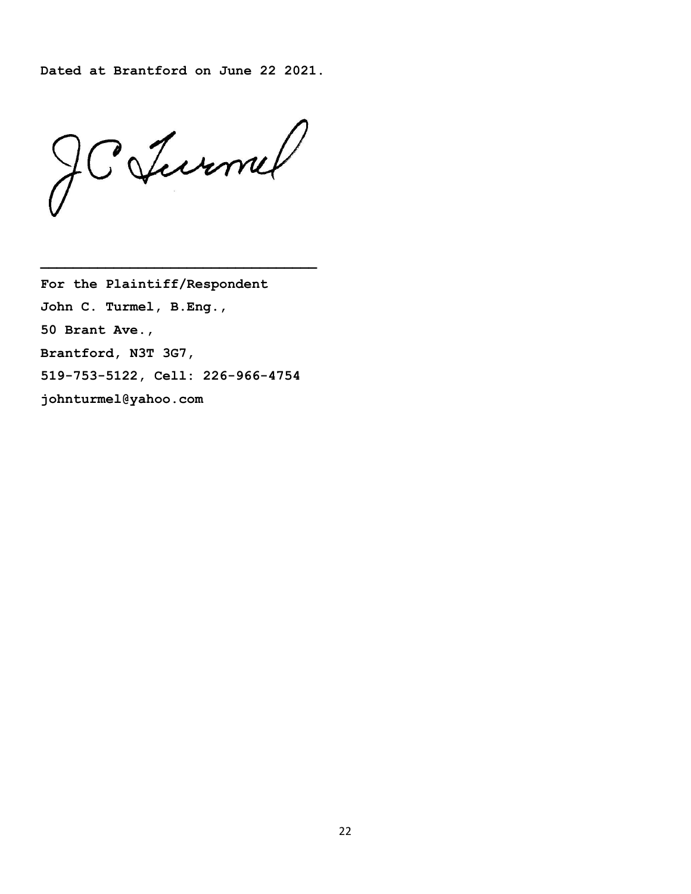**Dated at Brantford on June 22 2021.** 

JCJumel

**For the Plaintiff/Respondent John C. Turmel, B.Eng., 50 Brant Ave., Brantford, N3T 3G7, 519-753-5122, Cell: 226-966-4754 johnturmel@yahoo.com**